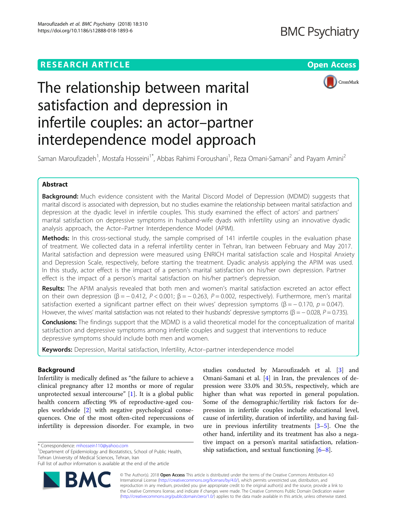## **RESEARCH ARTICLE Example 2018 12:30 THE Open Access**



# The relationship between marital satisfaction and depression in infertile couples: an actor–partner interdependence model approach

Saman Maroufizadeh<sup>1</sup>, Mostafa Hosseini<sup>1\*</sup>, Abbas Rahimi Foroushani<sup>1</sup>, Reza Omani-Samani<sup>2</sup> and Payam Amini<sup>2</sup>

## Abstract

Background: Much evidence consistent with the Marital Discord Model of Depression (MDMD) suggests that marital discord is associated with depression, but no studies examine the relationship between marital satisfaction and depression at the dyadic level in infertile couples. This study examined the effect of actors' and partners' marital satisfaction on depressive symptoms in husband-wife dyads with infertility using an innovative dyadic analysis approach, the Actor–Partner Interdependence Model (APIM).

**Methods:** In this cross-sectional study, the sample comprised of 141 infertile couples in the evaluation phase of treatment. We collected data in a referral infertility center in Tehran, Iran between February and May 2017. Marital satisfaction and depression were measured using ENRICH marital satisfaction scale and Hospital Anxiety and Depression Scale, respectively, before starting the treatment. Dyadic analysis applying the APIM was used. In this study, actor effect is the impact of a person's marital satisfaction on his/her own depression. Partner effect is the impact of a person's marital satisfaction on his/her partner's depression.

Results: The APIM analysis revealed that both men and women's marital satisfaction excreted an actor effect on their own depression ( $\beta = -0.412$ ,  $P < 0.001$ ;  $\beta = -0.263$ ,  $P = 0.002$ , respectively). Furthermore, men's marital satisfaction exerted a significant partner effect on their wives' depression symptoms ( $\beta = -0.170$ ,  $p = 0.047$ ). However, the wives' marital satisfaction was not related to their husbands' depressive symptoms ( $\beta = -0.028$ ,  $P = 0.735$ ).

Conclusions: The findings support that the MDMD is a valid theoretical model for the conceptualization of marital satisfaction and depressive symptoms among infertile couples and suggest that interventions to reduce depressive symptoms should include both men and women.

Keywords: Depression, Marital satisfaction, Infertility, Actor–partner interdependence model

## Background

Infertility is medically defined as "the failure to achieve a clinical pregnancy after 12 months or more of regular unprotected sexual intercourse" [\[1](#page-5-0)]. It is a global public health concern affecting 9% of reproductive-aged couples worldwide [[2\]](#page-5-0) with negative psychological consequences. One of the most often-cited repercussions of infertility is depression disorder. For example, in two

<sup>1</sup>Department of Epidemiology and Biostatistics, School of Public Health, Tehran University of Medical Sciences, Tehran, Iran

Full list of author information is available at the end of the article



studies conducted by Maroufizadeh et al. [[3\]](#page-5-0) and Omani-Samani et al. [\[4](#page-5-0)] in Iran, the prevalences of depression were 33.0% and 30.5%, respectively, which are higher than what was reported in general population. Some of the demographic/fertility risk factors for depression in infertile couples include educational level, cause of infertility, duration of infertility, and having failure in previous infertility treatments [\[3](#page-5-0)–[5\]](#page-5-0). One the other hand, infertility and its treatment has also a negative impact on a person's marital satisfaction, relation-\* Correspondence: mhossein110@yahoo.com and sextual functioning [[6](#page-5-0)–[8](#page-5-0)].<br><sup>1</sup>Department of Foidemiology and Biostatistics. School of Public Health. **1986 Ship satisfaction, and sextual functioning [6–8].** 

> © The Author(s). 2018 Open Access This article is distributed under the terms of the Creative Commons Attribution 4.0 International License [\(http://creativecommons.org/licenses/by/4.0/](http://creativecommons.org/licenses/by/4.0/)), which permits unrestricted use, distribution, and reproduction in any medium, provided you give appropriate credit to the original author(s) and the source, provide a link to the Creative Commons license, and indicate if changes were made. The Creative Commons Public Domain Dedication waiver [\(http://creativecommons.org/publicdomain/zero/1.0/](http://creativecommons.org/publicdomain/zero/1.0/)) applies to the data made available in this article, unless otherwise stated.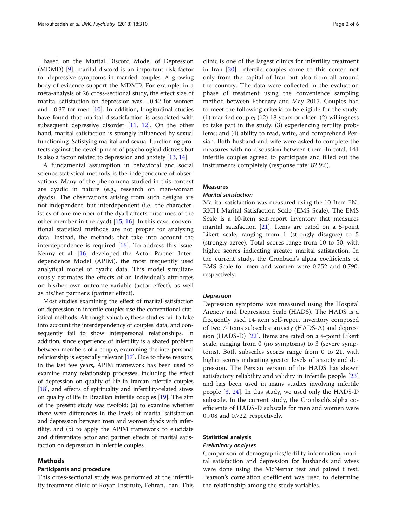Based on the Marital Discord Model of Depression (MDMD) [\[9\]](#page-5-0), marital discord is an important risk factor for depressive symptoms in married couples. A growing body of evidence support the MDMD. For example, in a meta-analysis of 26 cross-sectional study, the effect size of marital satisfaction on depression was − 0.42 for women and − 0.37 for men [\[10\]](#page-5-0). In addition, longitudinal studies have found that marital dissatisfaction is associated with subsequent depressive disorder  $[11, 12]$  $[11, 12]$  $[11, 12]$  $[11, 12]$ . On the other hand, marital satisfaction is strongly influenced by sexual functioning. Satisfying marital and sexual functioning protects against the development of psychological distress but is also a factor related to depression and anxiety [[13,](#page-5-0) [14\]](#page-5-0).

A fundamental assumption in behavioral and social science statistical methods is the independence of observations. Many of the phenomena studied in this context are dyadic in nature (e.g., research on man-woman dyads). The observations arising from such designs are not independent, but interdependent (i.e., the characteristics of one member of the dyad affects outcomes of the other member in the dyad) [\[15](#page-5-0), [16](#page-5-0)]. In this case, conventional statistical methods are not proper for analyzing data; Instead, the methods that take into account the interdependence is required [\[16](#page-5-0)]. To address this issue, Kenny et al. [\[16](#page-5-0)] developed the Actor Partner Interdependence Model (APIM), the most frequently used analytical model of dyadic data. This model simultaneously estimates the effects of an individual's attributes on his/her own outcome variable (actor effect), as well as his/her partner's (partner effect).

Most studies examining the effect of marital satisfaction on depression in infertile couples use the conventional statistical methods. Although valuable, these studies fail to take into account the interdependency of couples' data, and consequently fail to show interpersonal relationships. In addition, since experience of infertility is a shared problem between members of a couple, examining the interpersonal relationship is especially relevant [\[17](#page-5-0)]. Due to these reasons, in the last few years, APIM framework has been used to examine many relationship processes, including the effect of depression on quality of life in Iranian infertile couples [[18](#page-5-0)], and effects of spirituality and infertility-related stress on quality of life in Brazilian infertile couples [\[19](#page-5-0)]. The aim of the present study was twofold: (a) to examine whether there were differences in the levels of marital satisfaction and depression between men and women dyads with infertility, and (b) to apply the APIM framework to elucidate and differentiate actor and partner effects of marital satisfaction on depression in infertile couples.

## Methods

## Participants and procedure

This cross-sectional study was performed at the infertility treatment clinic of Royan Institute, Tehran, Iran. This clinic is one of the largest clinics for infertility treatment in Iran [[20\]](#page-5-0). Infertile couples come to this center, not only from the capital of Iran but also from all around the country. The data were collected in the evaluation phase of treatment using the convenience sampling method between February and May 2017. Couples had to meet the following criteria to be eligible for the study: (1) married couple; (12) 18 years or older; (2) willingness to take part in the study; (3) experiencing fertility problems; and (4) ability to read, write, and comprehend Persian. Both husband and wife were asked to complete the measures with no discussion between them. In total, 141 infertile couples agreed to participate and filled out the instruments completely (response rate: 82.9%).

## Measures

## Marital satisfaction

Marital satisfaction was measured using the 10-Item EN-RICH Marital Satisfaction Scale (EMS Scale). The EMS Scale is a 10-item self-report inventory that measures marital satisfaction  $[21]$  $[21]$ . Items are rated on a 5-point Likert scale, ranging from 1 (strongly disagree) to 5 (strongly agree). Total scores range from 10 to 50, with higher scores indicating greater marital satisfaction. In the current study, the Cronbach's alpha coefficients of EMS Scale for men and women were 0.752 and 0.790, respectively.

## Depression

Depression symptoms was measured using the Hospital Anxiety and Depression Scale (HADS). The HADS is a frequently used 14-item self-report inventory composed of two 7-items subscales: anxiety (HADS-A) and depression (HADS-D) [[22](#page-5-0)]. Items are rated on a 4-point Likert scale, ranging from 0 (no symptoms) to 3 (severe symptoms). Both subscales scores range from 0 to 21, with higher scores indicating greater levels of anxiety and depression. The Persian version of the HADS has shown satisfactory reliability and validity in infertile people [[23](#page-5-0)] and has been used in many studies involving infertile people [\[3](#page-5-0), [24\]](#page-5-0). In this study, we used only the HADS-D subscale. In the current study, the Cronbach's alpha coefficients of HADS-D subscale for men and women were 0.708 and 0.722, respectively.

## Statistical analysis

## Preliminary analyses

Comparison of demographics/fertility information, marital satisfaction and depression for husbands and wives were done using the McNemar test and paired t test. Pearson's correlation coefficient was used to determine the relationship among the study variables.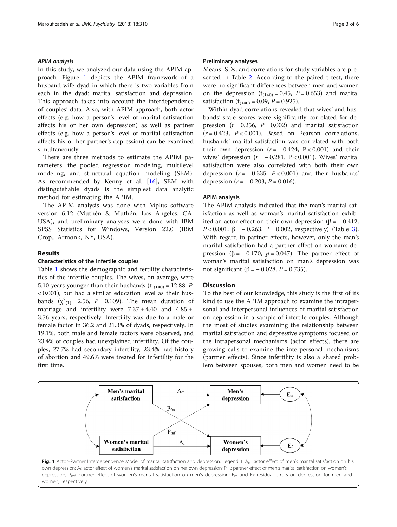## APIM analysis

In this study, we analyzed our data using the APIM approach. Figure 1 depicts the APIM framework of a husband-wife dyad in which there is two variables from each in the dyad: marital satisfaction and depression. This approach takes into account the interdependence of couples' data. Also, with APIM approach, both actor effects (e.g. how a person's level of marital satisfaction affects his or her own depression) as well as partner effects (e.g. how a person's level of marital satisfaction affects his or her partner's depression) can be examined simultaneously.

There are three methods to estimate the APIM parameters: the pooled regression modeling, multilevel modeling, and structural equation modeling (SEM). As recommended by Kenny et al. [[16\]](#page-5-0), SEM with distinguishable dyads is the simplest data analytic method for estimating the APIM.

The APIM analysis was done with Mplus software version 6.12 (Muthén & Muthén, Los Angeles, CA, USA), and preliminary analyses were done with IBM SPSS Statistics for Windows, Version 22.0 (IBM Crop., Armonk, NY, USA).

## Results

## Characteristics of the infertile couples

Table [1](#page-3-0) shows the demographic and fertility characteristics of the infertile couples. The wives, on average, were 5.10 years younger than their husbands (t  $_{(140)} = 12.88$ , P < 0.001), but had a similar education level as their husbands  $(\chi^2_{(1)} = 2.56, P = 0.109)$ . The mean duration of marriage and infertility were  $7.37 \pm 4.40$  and  $4.85 \pm$ 3.76 years, respectively. Infertility was due to a male or female factor in 36.2 and 21.3% of dyads, respectively. In 19.1%, both male and female factors were observed, and 23.4% of couples had unexplained infertility. Of the couples, 27.7% had secondary infertility, 23.4% had history of abortion and 49.6% were treated for infertility for the first time.

## Preliminary analyses

Means, SDs, and correlations for study variables are presented in Table [2](#page-3-0). According to the paired t test, there were no significant differences between men and women on the depression  $(t_{(140)} = 0.45, P = 0.653)$  and marital satisfaction ( $t_{(140)} = 0.09$ ,  $P = 0.925$ ).

Within-dyad correlations revealed that wives' and husbands' scale scores were significantly correlated for depression  $(r = 0.256, P = 0.002)$  and marital satisfaction  $(r = 0.423, P < 0.001)$ . Based on Pearson correlations, husbands' marital satisfaction was correlated with both their own depression  $(r = -0.424, P < 0.001)$  and their wives' depression  $(r = -0.281, P < 0.001)$ . Wives' marital satisfaction were also correlated with both their own depression  $(r = -0.335, P < 0.001)$  and their husbands' depression ( $r = -0.203$ ,  $P = 0.016$ ).

## APIM analysis

The APIM analysis indicated that the man's marital satisfaction as well as woman's marital satisfaction exhibited an actor effect on their own depression ( $\beta$  = -0.412,  $P < 0.001$ ;  $\beta = -0.263$  $\beta = -0.263$ ,  $P = 0.002$ , respectively) (Table 3). With regard to partner effects, however, only the man's marital satisfaction had a partner effect on woman's depression (β = - 0.170,  $p = 0.047$ ). The partner effect of woman's marital satisfaction on man's depression was not significant (β = − 0.028,  $P$  = 0.735).

## **Discussion**

To the best of our knowledge, this study is the first of its kind to use the APIM approach to examine the intrapersonal and interpersonal influences of marital satisfaction on depression in a sample of infertile couples. Although the most of studies examining the relationship between marital satisfaction and depressive symptoms focused on the intrapersonal mechanisms (actor effects), there are growing calls to examine the interpersonal mechanisms (partner effects). Since infertility is also a shared problem between spouses, both men and women need to be

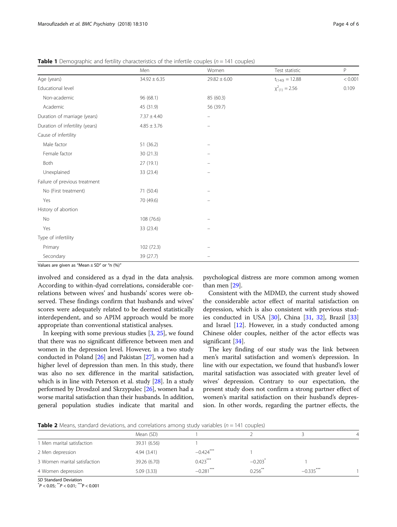|                                 | Men              | Women            | Test statistic        | P       |
|---------------------------------|------------------|------------------|-----------------------|---------|
| Age (years)                     | $34.92 \pm 6.35$ | $29.82 \pm 6.00$ | $t_{(140)} = 12.88$   | < 0.001 |
| Educational level               |                  |                  | $\chi^2_{(1)} = 2.56$ | 0.109   |
| Non-academic                    | 96(68.1)         | 85 (60.3)        |                       |         |
| Academic                        | 45 (31.9)        | 56 (39.7)        |                       |         |
| Duration of marriage (years)    | $7.37 \pm 4.40$  |                  |                       |         |
| Duration of infertility (years) | $4.85 \pm 3.76$  |                  |                       |         |
| Cause of infertility            |                  |                  |                       |         |
| Male factor                     | 51 (36.2)        |                  |                       |         |
| Female factor                   | 30 (21.3)        |                  |                       |         |
| Both                            | 27 (19.1)        |                  |                       |         |
| Unexplained                     | 33 (23.4)        |                  |                       |         |
| Failure of previous treatment   |                  |                  |                       |         |
| No (First treatment)            | 71 (50.4)        |                  |                       |         |
| Yes                             | 70 (49.6)        |                  |                       |         |
| History of abortion             |                  |                  |                       |         |
| No                              | 108 (76.6)       |                  |                       |         |
| Yes                             | 33 (23.4)        |                  |                       |         |
| Type of infertility             |                  |                  |                       |         |
| Primary                         | 102 (72.3)       |                  |                       |         |
| Secondary                       | 39 (27.7)        |                  |                       |         |

<span id="page-3-0"></span>**Table 1** Demographic and fertility characteristics of the infertile couples ( $n = 141$  couples)

Values are given as "Mean  $\pm$  SD" or "n (%)"

involved and considered as a dyad in the data analysis. According to within-dyad correlations, considerable correlations between wives' and husbands' scores were observed. These findings confirm that husbands and wives' scores were adequately related to be deemed statistically interdependent, and so APIM approach would be more appropriate than conventional statistical analyses.

In keeping with some previous studies [\[3](#page-5-0), [25\]](#page-5-0), we found that there was no significant difference between men and women in the depression level. However, in a two study conducted in Poland [[26](#page-5-0)] and Pakistan [\[27](#page-5-0)], women had a higher level of depression than men. In this study, there was also no sex difference in the marital satisfaction, which is in line with Peterson et al. study [[28](#page-5-0)]. In a study performed by Drosdzol and Skrzypulec [\[26\]](#page-5-0), women had a worse marital satisfaction than their husbands. In addition, general population studies indicate that marital and psychological distress are more common among women than men [[29](#page-5-0)].

Consistent with the MDMD, the current study showed the considerable actor effect of marital satisfaction on depression, which is also consistent with previous studies conducted in USA [[30](#page-5-0)], China [\[31](#page-5-0), [32\]](#page-5-0), Brazil [[33](#page-5-0)] and Israel [[12\]](#page-5-0). However, in a study conducted among Chinese older couples, neither of the actor effects was significant [[34](#page-5-0)].

The key finding of our study was the link between men's marital satisfaction and women's depression. In line with our expectation, we found that husband's lower marital satisfaction was associated with greater level of wives' depression. Contrary to our expectation, the present study does not confirm a strong partner effect of women's marital satisfaction on their husband's depression. In other words, regarding the partner effects, the

**Table 2** Means, standard deviations, and correlations among study variables ( $n = 141$  couples)

|                              | Mean (SD)    |              |                       |             | $\Lambda$ |
|------------------------------|--------------|--------------|-----------------------|-------------|-----------|
| 1 Men marital satisfaction   | 39.31 (6.56) |              |                       |             |           |
| 2 Men depression             | 4.94(3.41)   | $-0.424***$  |                       |             |           |
| 3 Women marital satisfaction | 39.26 (6.70) | $0.423***$   | $-0.203$ <sup>*</sup> |             |           |
| 4 Women depression           | 5.09(3.33)   | $-0.281$ *** | $0.256$ <sup>**</sup> | $-0.335***$ |           |
|                              |              |              |                       |             |           |

SD Standard Deviation \* P < 0.05; \*\*P < 0.01; \*\*\*P < 0.001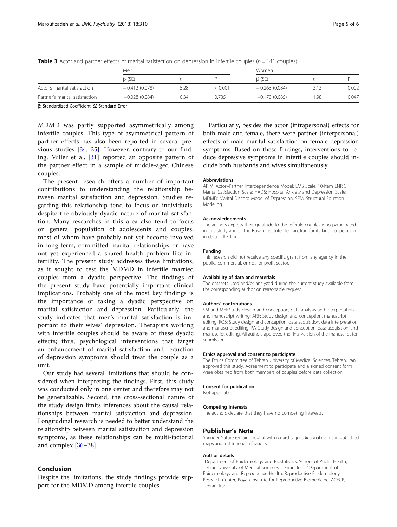|                                | Men             |      |         | Women           |      |       |
|--------------------------------|-----------------|------|---------|-----------------|------|-------|
|                                | $\beta$ (SE)    |      |         | $\beta$ (SE)    |      |       |
| Actor's marital satisfaction   | $-0.412(0.078)$ | 5.28 | < 0.001 | $-0.263(0.084)$ | 3.13 | 0.002 |
| Partner's marital satisfaction | $-0.028(0.084)$ | 0.34 | 0.735   | $-0.170(0.085)$ | .98  | 0.047 |

<span id="page-4-0"></span>**Table 3** Actor and partner effects of marital satisfaction on depression in infertile couples ( $n = 141$  couples)

β: Standardized Coefficient; SE Standard Error

MDMD was partly supported asymmetrically among infertile couples. This type of asymmetrical pattern of partner effects has also been reported in several previous studies [\[34](#page-5-0), [35](#page-5-0)]. However, contrary to our finding, Miller et al. [[31\]](#page-5-0) reported an opposite pattern of the partner effect in a sample of middle-aged Chinese couples.

The present research offers a number of important contributions to understanding the relationship between marital satisfaction and depression. Studies regarding this relationship tend to focus on individuals, despite the obviously dyadic nature of marital satisfaction. Many researches in this area also tend to focus on general population of adolescents and couples, most of whom have probably not yet become involved in long-term, committed marital relationships or have not yet experienced a shared health problem like infertility. The present study addresses these limitations, as it sought to test the MDMD in infertile married couples from a dyadic perspective. The findings of the present study have potentially important clinical implications. Probably one of the most key findings is the importance of taking a dyadic perspective on marital satisfaction and depression. Particularly, the study indicates that men's marital satisfaction is important to their wives' depression. Therapists working with infertile couples should be aware of these dyadic effects; thus, psychological interventions that target an enhancement of marital satisfaction and reduction of depression symptoms should treat the couple as a unit.

Our study had several limitations that should be considered when interpreting the findings. First, this study was conducted only in one center and therefore may not be generalizable. Second, the cross-sectional nature of the study design limits inferences about the causal relationships between marital satisfaction and depression. Longitudinal research is needed to better understand the relationship between marital satisfaction and depression symptoms, as these relationships can be multi-factorial and complex [\[36](#page-5-0)–[38\]](#page-5-0).

## Conclusion

Despite the limitations, the study findings provide support for the MDMD among infertile couples.

Particularly, besides the actor (intrapersonal) effects for both male and female, there were partner (interpersonal) effects of male marital satisfaction on female depression symptoms. Based on these findings, interventions to reduce depressive symptoms in infertile couples should include both husbands and wives simultaneously.

## **Abbreviations**

APIM: Actor–Partner Interdependence Model; EMS Scale: 10-Item ENRICH Marital Satisfaction Scale; HADS: Hospital Anxiety and Depression Scale; MDMD: Marital Discord Model of Depression; SEM: Structural Equation Modeling

#### Acknowledgements

The authors express their gratitude to the infertile couples who participated in this study and to the Royan Institute, Tehran, Iran for its kind cooperation in data collection.

## Funding

This research did not receive any specific grant from any agency in the public, commercial, or not-for-profit sector.

#### Availability of data and materials

The datasets used and/or analyzed during the current study available from the corresponding author on reasonable request.

## Authors' contributions

SM and MH: Study design and conception, data analysis and interpretation, and manuscript writing; ARF: Study design and conception, manuscript editing; ROS: Study design and conception, data acquisition, data interpretation, and manuscript editing; PA: Study design and conception, data acquisition, and manuscript editing. All authors approved the final version of the manuscript for submission.

#### Ethics approval and consent to participate

The Ethics Committee of Tehran University of Medical Sciences, Tehran, Iran, approved this study. Agreement to participate and a signed consent form were obtained from both members of couples before data collection.

#### Consent for publication

Not applicable.

#### Competing interests

The authors declare that they have no competing interests.

## Publisher's Note

Springer Nature remains neutral with regard to jurisdictional claims in published maps and institutional affiliations.

#### Author details

<sup>1</sup>Department of Epidemiology and Biostatistics, School of Public Health, Tehran University of Medical Sciences, Tehran, Iran. <sup>2</sup>Department of Epidemiology and Reproductive Health, Reproductive Epidemiology Research Center, Royan Institute for Reproductive Biomedicine, ACECR, Tehran, Iran.